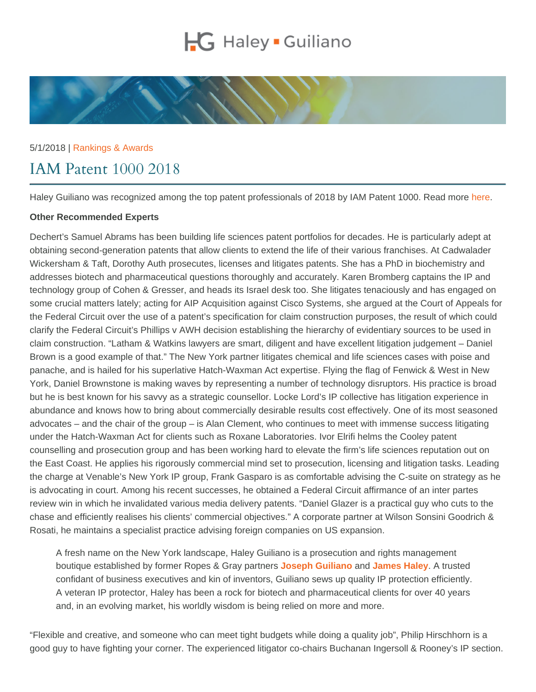## 5/1/2018 | [Rankings & Awards](https://www.hglaw.com/news-insights/category/rankings-awards/)

## IAM Patent 1000 2018

Haley Guiliano was recognized among the top patent professionals of 2018 by IAM Patent 1000. Read more [here.](https://www.iam-media.com/directories/patent1000/rankings/united-states-new-york)

## Other Recommended Experts

Dechert's Samuel Abrams has been building life sciences patent portfolios for decades. He is particularly adept at obtaining second-generation patents that allow clients to extend the life of their various franchises. At Cadwalader Wickersham & Taft, Dorothy Auth prosecutes, licenses and litigates patents. She has a PhD in biochemistry and addresses biotech and pharmaceutical questions thoroughly and accurately. Karen Bromberg captains the IP and technology group of Cohen & Gresser, and heads its Israel desk too. She litigates tenaciously and has engaged on some crucial matters lately; acting for AIP Acquisition against Cisco Systems, she argued at the Court of Appeals for the Federal Circuit over the use of a patent's specification for claim construction purposes, the result of which could clarify the Federal Circuit's Phillips v AWH decision establishing the hierarchy of evidentiary sources to be used in claim construction. "Latham & Watkins lawyers are smart, diligent and have excellent litigation judgement – Daniel Brown is a good example of that." The New York partner litigates chemical and life sciences cases with poise and panache, and is hailed for his superlative Hatch-Waxman Act expertise. Flying the flag of Fenwick & West in New York, Daniel Brownstone is making waves by representing a number of technology disruptors. His practice is broad but he is best known for his savvy as a strategic counsellor. Locke Lord's IP collective has litigation experience in abundance and knows how to bring about commercially desirable results cost effectively. One of its most seasoned advocates – and the chair of the group – is Alan Clement, who continues to meet with immense success litigating under the Hatch-Waxman Act for clients such as Roxane Laboratories. Ivor Elrifi helms the Cooley patent counselling and prosecution group and has been working hard to elevate the firm's life sciences reputation out on the East Coast. He applies his rigorously commercial mind set to prosecution, licensing and litigation tasks. Leading the charge at Venable's New York IP group, Frank Gasparo is as comfortable advising the C-suite on strategy as he is advocating in court. Among his recent successes, he obtained a Federal Circuit affirmance of an inter partes review win in which he invalidated various media delivery patents. "Daniel Glazer is a practical guy who cuts to the chase and efficiently realises his clients' commercial objectives." A corporate partner at Wilson Sonsini Goodrich & Rosati, he maintains a specialist practice advising foreign companies on US expansion.

A fresh name on the New York landscape, Haley Guiliano is a prosecution and rights management boutique established by former Ropes & Gray partners [Joseph Guiliano](https://www.hglaw.com/our-team/joseph-guiliano/) and [James Haley](https://www.hglaw.com/our-team/james-haley/) . A trusted confidant of business executives and kin of inventors, Guiliano sews up quality IP protection efficiently. A veteran IP protector, Haley has been a rock for biotech and pharmaceutical clients for over 40 years and, in an evolving market, his worldly wisdom is being relied on more and more.

"Flexible and creative, and someone who can meet tight budgets while doing a quality job", Philip Hirschhorn is a good guy to have fighting your corner. The experienced litigator co-chairs Buchanan Ingersoll & Rooney's IP section.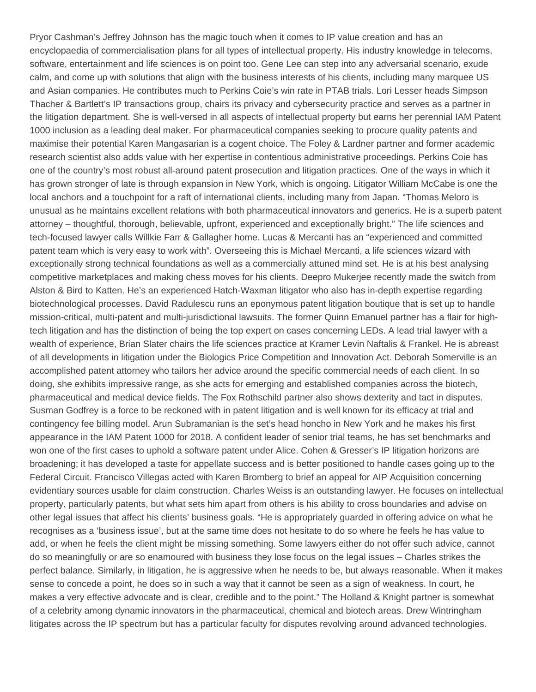Pryor Cashman's Jeffrey Johnson has the magic touch when it comes to IP value creation and has an encyclopaedia of commercialisation plans for all types of intellectual property. His industry knowledge in telecoms, software, entertainment and life sciences is on point too. Gene Lee can step into any adversarial scenario, exude calm, and come up with solutions that align with the business interests of his clients, including many marquee US and Asian companies. He contributes much to Perkins Coie's win rate in PTAB trials. Lori Lesser heads Simpson Thacher & Bartlett's IP transactions group, chairs its privacy and cybersecurity practice and serves as a partner in the litigation department. She is well-versed in all aspects of intellectual property but earns her perennial IAM Patent 1000 inclusion as a leading deal maker. For pharmaceutical companies seeking to procure quality patents and maximise their potential Karen Mangasarian is a cogent choice. The Foley & Lardner partner and former academic research scientist also adds value with her expertise in contentious administrative proceedings. Perkins Coie has one of the country's most robust all-around patent prosecution and litigation practices. One of the ways in which it has grown stronger of late is through expansion in New York, which is ongoing. Litigator William McCabe is one the local anchors and a touchpoint for a raft of international clients, including many from Japan. "Thomas Meloro is unusual as he maintains excellent relations with both pharmaceutical innovators and generics. He is a superb patent attorney – thoughtful, thorough, believable, upfront, experienced and exceptionally bright." The life sciences and tech-focused lawyer calls Willkie Farr & Gallagher home. Lucas & Mercanti has an "experienced and committed patent team which is very easy to work with". Overseeing this is Michael Mercanti, a life sciences wizard with exceptionally strong technical foundations as well as a commercially attuned mind set. He is at his best analysing competitive marketplaces and making chess moves for his clients. Deepro Mukerjee recently made the switch from Alston & Bird to Katten. He's an experienced Hatch-Waxman litigator who also has in-depth expertise regarding biotechnological processes. David Radulescu runs an eponymous patent litigation boutique that is set up to handle mission-critical, multi-patent and multi-jurisdictional lawsuits. The former Quinn Emanuel partner has a flair for hightech litigation and has the distinction of being the top expert on cases concerning LEDs. A lead trial lawyer with a wealth of experience, Brian Slater chairs the life sciences practice at Kramer Levin Naftalis & Frankel. He is abreast of all developments in litigation under the Biologics Price Competition and Innovation Act. Deborah Somerville is an accomplished patent attorney who tailors her advice around the specific commercial needs of each client. In so doing, she exhibits impressive range, as she acts for emerging and established companies across the biotech, pharmaceutical and medical device fields. The Fox Rothschild partner also shows dexterity and tact in disputes. Susman Godfrey is a force to be reckoned with in patent litigation and is well known for its efficacy at trial and contingency fee billing model. Arun Subramanian is the set's head honcho in New York and he makes his first appearance in the IAM Patent 1000 for 2018. A confident leader of senior trial teams, he has set benchmarks and won one of the first cases to uphold a software patent under Alice. Cohen & Gresser's IP litigation horizons are broadening; it has developed a taste for appellate success and is better positioned to handle cases going up to the Federal Circuit. Francisco Villegas acted with Karen Bromberg to brief an appeal for AIP Acquisition concerning evidentiary sources usable for claim construction. Charles Weiss is an outstanding lawyer. He focuses on intellectual property, particularly patents, but what sets him apart from others is his ability to cross boundaries and advise on other legal issues that affect his clients' business goals. "He is appropriately guarded in offering advice on what he recognises as a 'business issue', but at the same time does not hesitate to do so where he feels he has value to add, or when he feels the client might be missing something. Some lawyers either do not offer such advice, cannot do so meaningfully or are so enamoured with business they lose focus on the legal issues – Charles strikes the perfect balance. Similarly, in litigation, he is aggressive when he needs to be, but always reasonable. When it makes sense to concede a point, he does so in such a way that it cannot be seen as a sign of weakness. In court, he makes a very effective advocate and is clear, credible and to the point." The Holland & Knight partner is somewhat of a celebrity among dynamic innovators in the pharmaceutical, chemical and biotech areas. Drew Wintringham litigates across the IP spectrum but has a particular faculty for disputes revolving around advanced technologies.